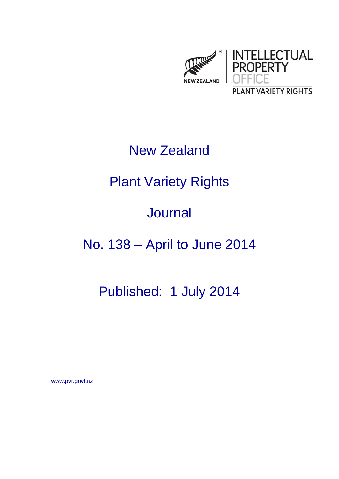

# New Zealand

# Plant Variety Rights

## Journal

# No. 138 – April to June 2014

## Published: 1 July 2014

www.pvr.govt.nz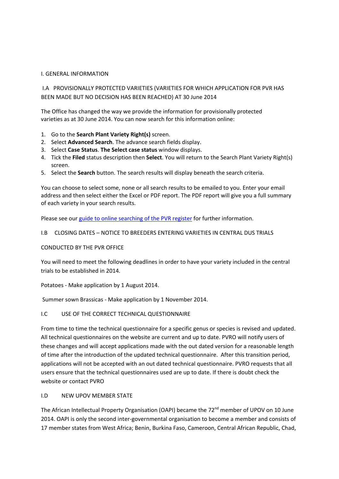#### I. GENERAL INFORMATION

I.A PROVISIONALLY PROTECTED VARIETIES (VARIETIES FOR WHICH APPLICATION FOR PVR HAS BEEN MADE BUT NO DECISION HAS BEEN REACHED) AT 30 June 2014

The Office has changed the way we provide the information for provisionally protected varieties as at 30 June 2014. You can now search for this information online:

- 1. Go to the **Search Plant Variety Right(s)** screen.
- 2. Select **Advanced Search**. The advance search fields display.
- 3. Select **Case Status**. **The Select case status** window displays.
- 4. Tick the **Filed** status description then **Select**. You will return to the Search Plant Variety Right(s) screen.
- 5. Select the **Search** button. The search results will display beneath the search criteria.

You can choose to select some, none or all search results to be emailed to you. Enter your email address and then select either the Excel or PDF report. The PDF report will give you a full summary of each variety in your search results.

Please see our guide to online [searching](http://www.iponz.govt.nz/cms/pvr/how-to-check-for-existing-plant-variety-rights/guide-to-online-searching-of-the-pvr-register) of the PVR register for further information.

#### I.B CLOSING DATES – NOTICE TO BREEDERS ENTERING VARIETIES IN CENTRAL DUS TRIALS

#### CONDUCTED BY THE PVR OFFICE

You will need to meet the following deadlines in order to have your variety included in the central trials to be established in 2014.

Potatoes ‐ Make application by 1 August 2014.

Summer sown Brassicas ‐ Make application by 1 November 2014.

### I.C USE OF THE CORRECT TECHNICAL QUESTIONNAIRE

From time to time the technical questionnaire for a specific genus or species is revised and updated. All technical questionnaires on the website are current and up to date. PVRO will notify users of these changes and will accept applications made with the out dated version for a reasonable length of time after the introduction of the updated technical questionnaire. After this transition period, applications will not be accepted with an out dated technical questionnaire. PVRO requests that all users ensure that the technical questionnaires used are up to date. If there is doubt check the website or contact PVRO

### I.D NEW UPOV MEMBER STATE

The African Intellectual Property Organisation (OAPI) became the 72<sup>nd</sup> member of UPOV on 10 June 2014. OAPI is only the second inter‐governmental organisation to become a member and consists of 17 member states from West Africa; Benin, Burkina Faso, Cameroon, Central African Republic, Chad,